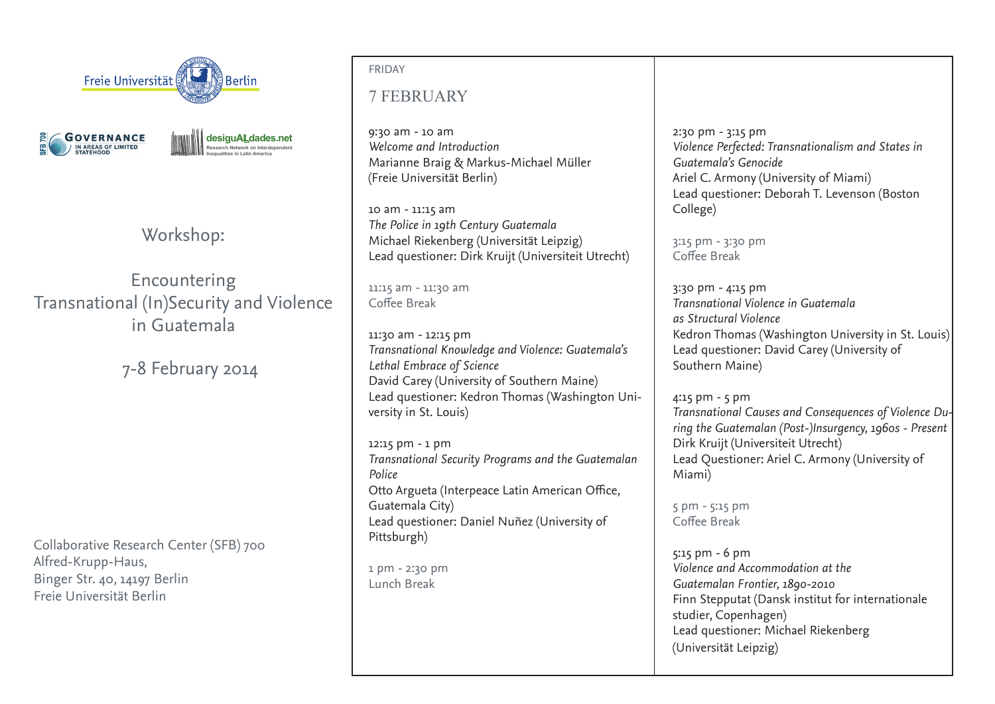



**desiguALdades.net Rearch Network on Interdependent Inequalities in Latin America**

Workshop:

Encountering Transnational (In)Security and Violence in Guatemala

7-8 February 2014

Collaborative Research Center (SFB) 700 Alfred-Krupp-Haus, Binger Str. 40, 14197 Berlin Freie Universität Berlin

### FRIDAY

# 7 FEBRUARY

9:30 am - 10 am *Welcome and Introduction* Marianne Braig & Markus-Michael Müller (Freie Universität Berlin)

10 am - 11:15 am *The Police in 19th Century Guatemala* Michael Riekenberg (Universität Leipzig) Lead questioner: Dirk Kruijt (Universiteit Utrecht)

11:15 am - 11:30 am Coffee Break

11:30 am - 12:15 pm *Transnational Knowledge and Violence: Guatemala's Lethal Embrace of Science*  David Carey (University of Southern Maine) Lead questioner: Kedron Thomas (Washington University in St. Louis)

12:15 pm - 1 pm *Transnational Security Programs and the Guatemalan Police* Otto Argueta (Interpeace Latin American Office, Guatemala City) Lead questioner: Daniel Nuñez (University of Pittsburgh)

1 pm - 2:30 pm Lunch Break

2:30 pm - 3:15 pm *Violence Perfected: Transnationalism and States in Guatemala's Genocide* Ariel C. Armony (University of Miami) Lead questioner: Deborah T. Levenson (Boston College)

3:15 pm - 3:30 pm Coffee Break

3:30 pm - 4:15 pm *Transnational Violence in Guatemala as Structural Violence* Kedron Thomas (Washington University in St. Louis) Lead questioner: David Carey (University of Southern Maine)

4:15 pm - 5 pm *Transnational Causes and Consequences of Violence During the Guatemalan (Post-)Insurgency, 1960s - Present* Dirk Kruijt (Universiteit Utrecht) Lead Questioner: Ariel C. Armony (University of Miami)

5 pm - 5:15 pm Coffee Break

5:15 pm - 6 pm *Violence and Accommodation at the Guatemalan Frontier, 1890-2010* Finn Stepputat (Dansk institut for internationale studier, Copenhagen) Lead questioner: Michael Riekenberg (Universität Leipzig)